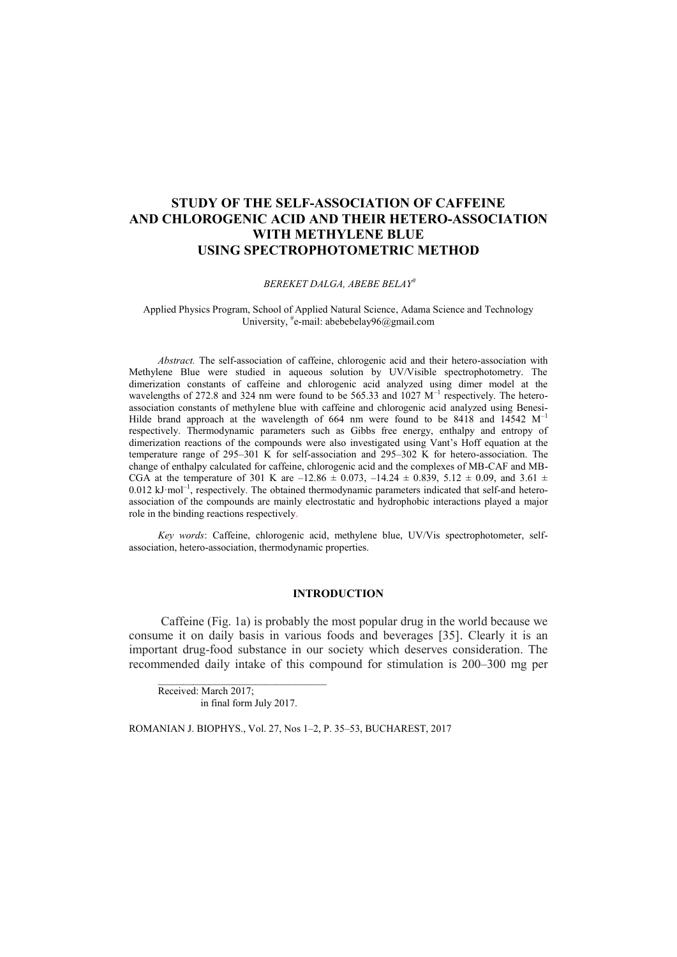# **STUDY OF THE SELF-ASSOCIATION OF CAFFEINE AND CHLOROGENIC ACID AND THEIR HETERO-ASSOCIATION WITH METHYLENE BLUE USING SPECTROPHOTOMETRIC METHOD**

### *BEREKET DALGA, ABEBE BELAY#*

Applied Physics Program, School of Applied Natural Science, Adama Science and Technology University, #e-mail: abebebelay96@gmail.com

*Abstract.* The self-association of caffeine, chlorogenic acid and their hetero-association with Methylene Blue were studied in aqueous solution by UV/Visible spectrophotometry. The dimerization constants of caffeine and chlorogenic acid analyzed using dimer model at the wavelengths of 272.8 and 324 nm were found to be 565.33 and 1027  $M^{-1}$  respectively. The heteroassociation constants of methylene blue with caffeine and chlorogenic acid analyzed using Benesi-Hilde brand approach at the wavelength of 664 nm were found to be  $8418$  and  $14542 \text{ M}^{-1}$ respectively. Thermodynamic parameters such as Gibbs free energy, enthalpy and entropy of dimerization reactions of the compounds were also investigated using Vant's Hoff equation at the temperature range of 295–301 K for self-association and 295–302 K for hetero-association. The change of enthalpy calculated for caffeine, chlorogenic acid and the complexes of MB-CAF and MB-CGA at the temperature of 301 K are –12.86  $\pm$  0.073, –14.24  $\pm$  0.839, 5.12  $\pm$  0.09, and 3.61  $\pm$  $0.012 \text{ kJ·mol}^{-1}$ , respectively. The obtained thermodynamic parameters indicated that self-and heteroassociation of the compounds are mainly electrostatic and hydrophobic interactions played a major role in the binding reactions respectively.

*Key words*: Caffeine, chlorogenic acid, methylene blue, UV/Vis spectrophotometer, selfassociation, hetero-association, thermodynamic properties.

# **INTRODUCTION**

Caffeine (Fig. 1a) is probably the most popular drug in the world because we consume it on daily basis in various foods and beverages [35]. Clearly it is an important drug-food substance in our society which deserves consideration. The recommended daily intake of this compound for stimulation is 200–300 mg per

Received: March 2017; in final form July 2017.

\_\_\_\_\_\_\_\_\_\_\_\_\_\_\_\_\_\_\_\_\_\_\_\_\_\_\_\_\_\_\_\_\_

ROMANIAN J. BIOPHYS., Vol. 27, Nos 1–2, P. 35–53, BUCHAREST, 2017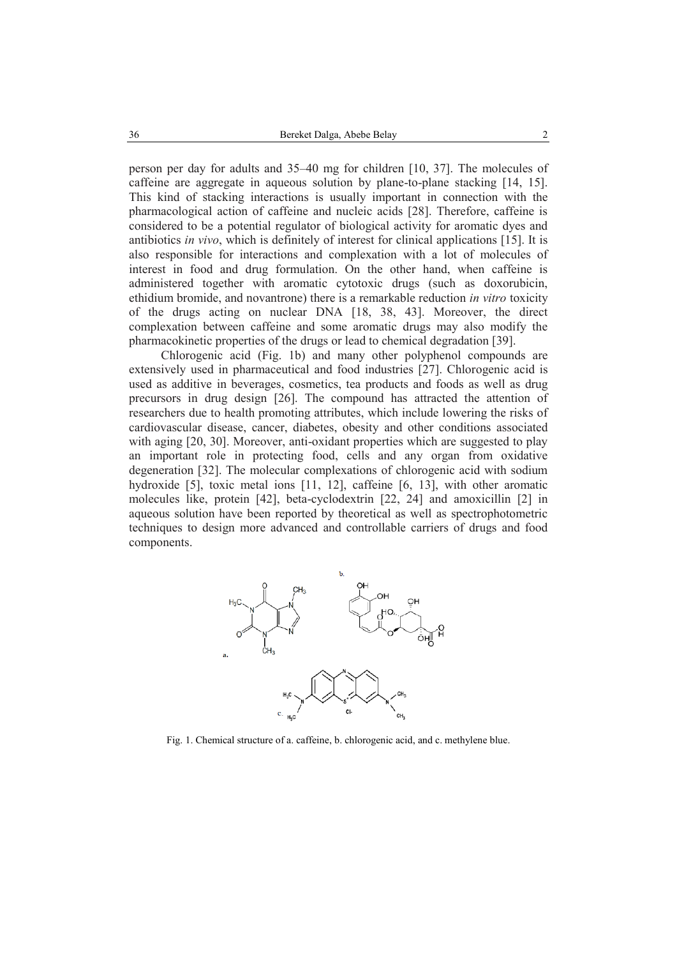person per day for adults and 35–40 mg for children [10, 37]. The molecules of caffeine are aggregate in aqueous solution by plane-to-plane stacking [14, 15]. This kind of stacking interactions is usually important in connection with the pharmacological action of caffeine and nucleic acids [28]. Therefore, caffeine is considered to be a potential regulator of biological activity for aromatic dyes and antibiotics *in vivo*, which is definitely of interest for clinical applications [15]. It is also responsible for interactions and complexation with a lot of molecules of interest in food and drug formulation. On the other hand, when caffeine is administered together with aromatic cytotoxic drugs (such as doxorubicin, ethidium bromide, and novantrone) there is a remarkable reduction *in vitro* toxicity of the drugs acting on nuclear DNA [18, 38, 43]. Moreover, the direct complexation between caffeine and some aromatic drugs may also modify the pharmacokinetic properties of the drugs or lead to chemical degradation [39].

Chlorogenic acid (Fig. 1b) and many other polyphenol compounds are extensively used in pharmaceutical and food industries [27]. Chlorogenic acid is used as additive in beverages, cosmetics, tea products and foods as well as drug precursors in drug design [26]. The compound has attracted the attention of researchers due to health promoting attributes, which include lowering the risks of cardiovascular disease, cancer, diabetes, obesity and other conditions associated with aging [20, 30]. Moreover, anti-oxidant properties which are suggested to play an important role in protecting food, cells and any organ from oxidative degeneration [32]. The molecular complexations of chlorogenic acid with sodium hydroxide [5], toxic metal ions [11, 12], caffeine [6, 13], with other aromatic molecules like, protein [42], beta-cyclodextrin [22, 24] and amoxicillin [2] in aqueous solution have been reported by theoretical as well as spectrophotometric techniques to design more advanced and controllable carriers of drugs and food components.



Fig. 1. Chemical structure of a. caffeine, b. chlorogenic acid, and c. methylene blue.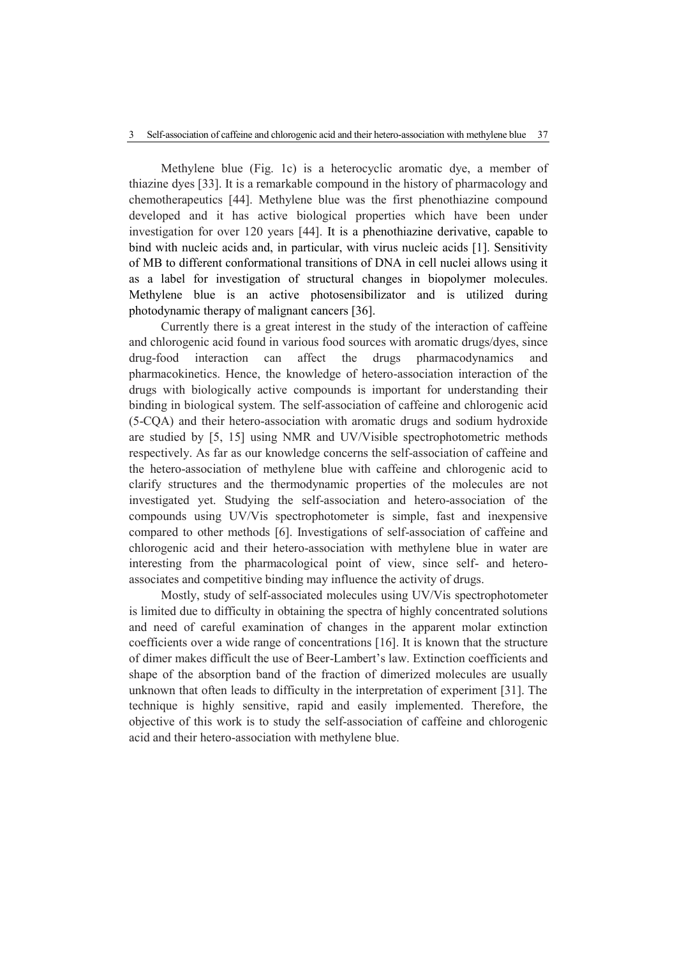Methylene blue (Fig. 1c) is a heterocyclic aromatic dye, a member of thiazine dyes [33]. It is a remarkable compound in the history of pharmacology and chemotherapeutics [44]. Methylene blue was the first phenothiazine compound developed and it has active biological properties which have been under investigation for over 120 years [44]. It is a phenothiazine derivative, capable to bind with nucleic acids and, in particular, with virus nucleic acids [1]. Sensitivity of MB to different conformational transitions of DNA in cell nuclei allows using it as a label for investigation of structural changes in biopolymer molecules. Methylene blue is an active photosensibilizator and is utilized during photodynamic therapy of malignant cancers [36].

Currently there is a great interest in the study of the interaction of caffeine and chlorogenic acid found in various food sources with aromatic drugs/dyes, since drug-food interaction can affect the drugs pharmacodynamics and pharmacokinetics. Hence, the knowledge of hetero-association interaction of the drugs with biologically active compounds is important for understanding their binding in biological system. The self-association of caffeine and chlorogenic acid (5-CQA) and their hetero-association with aromatic drugs and sodium hydroxide are studied by [5, 15] using NMR and UV/Visible spectrophotometric methods respectively. As far as our knowledge concerns the self-association of caffeine and the hetero-association of methylene blue with caffeine and chlorogenic acid to clarify structures and the thermodynamic properties of the molecules are not investigated yet. Studying the self-association and hetero-association of the compounds using UV/Vis spectrophotometer is simple, fast and inexpensive compared to other methods [6]. Investigations of self-association of caffeine and chlorogenic acid and their hetero-association with methylene blue in water are interesting from the pharmacological point of view, since self- and heteroassociates and competitive binding may influence the activity of drugs.

Mostly, study of self-associated molecules using UV/Vis spectrophotometer is limited due to difficulty in obtaining the spectra of highly concentrated solutions and need of careful examination of changes in the apparent molar extinction coefficients over a wide range of concentrations [16]. It is known that the structure of dimer makes difficult the use of Beer-Lambert's law. Extinction coefficients and shape of the absorption band of the fraction of dimerized molecules are usually unknown that often leads to difficulty in the interpretation of experiment [31]. The technique is highly sensitive, rapid and easily implemented. Therefore, the objective of this work is to study the self-association of caffeine and chlorogenic acid and their hetero-association with methylene blue.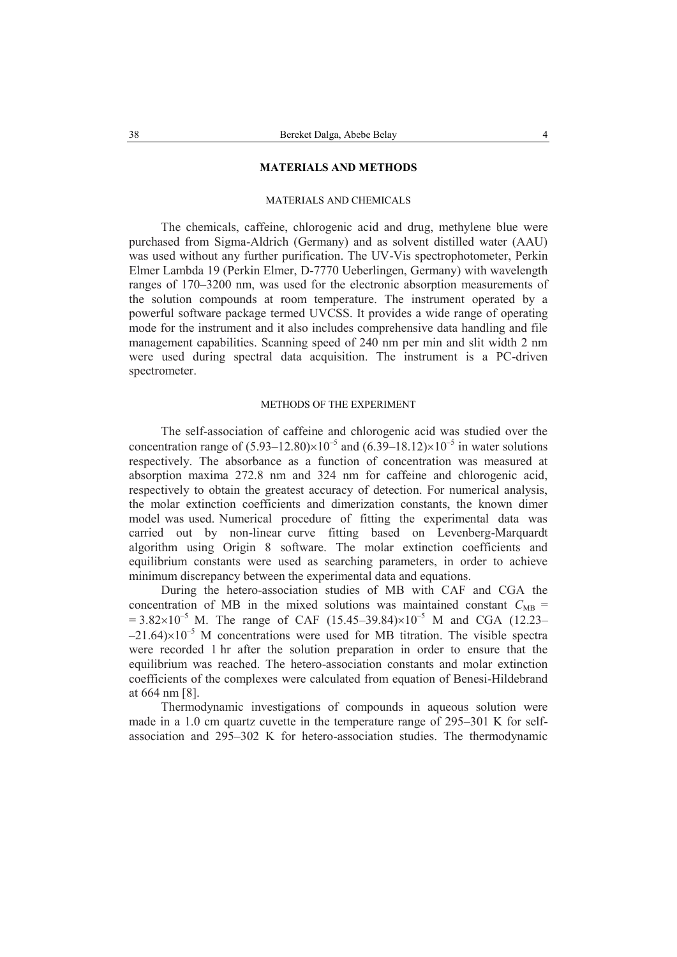# **MATERIALS AND METHODS**

# MATERIALS AND CHEMICALS

The chemicals, caffeine, chlorogenic acid and drug, methylene blue were purchased from Sigma-Aldrich (Germany) and as solvent distilled water (AAU) was used without any further purification. The UV-Vis spectrophotometer, Perkin Elmer Lambda 19 (Perkin Elmer, D-7770 Ueberlingen, Germany) with wavelength ranges of 170–3200 nm, was used for the electronic absorption measurements of the solution compounds at room temperature. The instrument operated by a powerful software package termed UVCSS. It provides a wide range of operating mode for the instrument and it also includes comprehensive data handling and file management capabilities. Scanning speed of 240 nm per min and slit width 2 nm were used during spectral data acquisition. The instrument is a PC-driven spectrometer.

# METHODS OF THE EXPERIMENT

The self-association of caffeine and chlorogenic acid was studied over the concentration range of  $(5.93-12.80)\times10^{-5}$  and  $(6.39-18.12)\times10^{-5}$  in water solutions respectively. The absorbance as a function of concentration was measured at absorption maxima 272.8 nm and 324 nm for caffeine and chlorogenic acid, respectively to obtain the greatest accuracy of detection. For numerical analysis, the molar extinction coefficients and dimerization constants, the known dimer model was used. Numerical procedure of fitting the experimental data was carried out by non-linear curve fitting based on Levenberg-Marquardt algorithm using Origin 8 software. The molar extinction coefficients and equilibrium constants were used as searching parameters, in order to achieve minimum discrepancy between the experimental data and equations.

During the hetero-association studies of MB with CAF and CGA the concentration of MB in the mixed solutions was maintained constant  $C_{MB}$  =  $= 3.82 \times 10^{-5}$  M. The range of CAF (15.45–39.84) $\times 10^{-5}$  M and CGA (12.23–  $-21.64\times10^{-5}$  M concentrations were used for MB titration. The visible spectra were recorded 1 hr after the solution preparation in order to ensure that the equilibrium was reached. The hetero-association constants and molar extinction coefficients of the complexes were calculated from equation of Benesi-Hildebrand at 664 nm [8].

Thermodynamic investigations of compounds in aqueous solution were made in a 1.0 cm quartz cuvette in the temperature range of 295–301 K for selfassociation and 295–302 K for hetero-association studies. The thermodynamic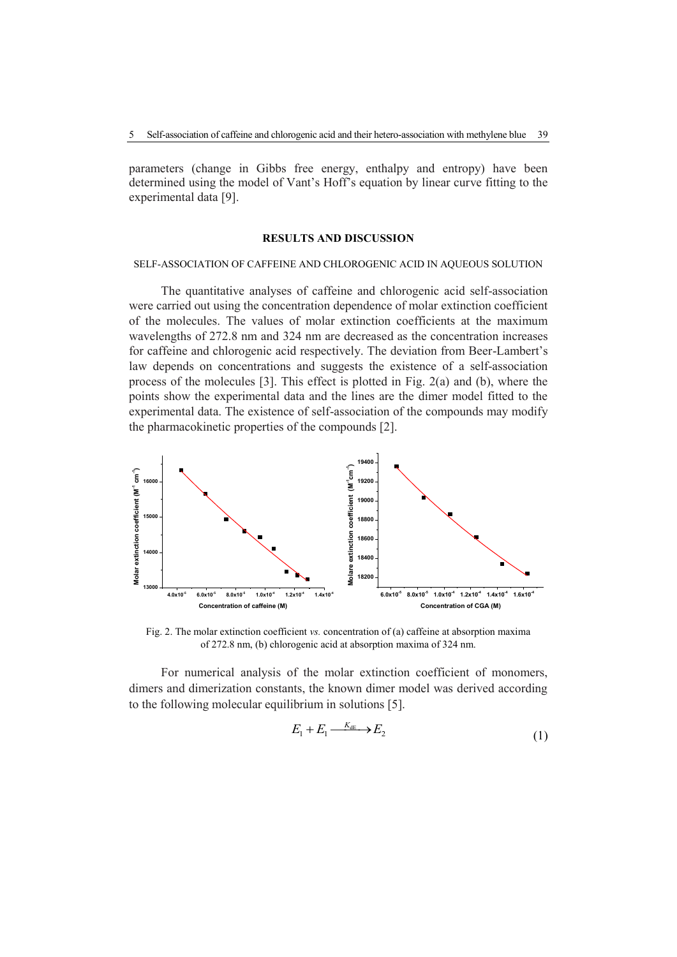parameters (change in Gibbs free energy, enthalpy and entropy) have been determined using the model of Vant's Hoff's equation by linear curve fitting to the experimental data [9].

#### **RESULTS AND DISCUSSION**

#### SELF-ASSOCIATION OF CAFFEINE AND CHLOROGENIC ACID IN AQUEOUS SOLUTION

The quantitative analyses of caffeine and chlorogenic acid self-association were carried out using the concentration dependence of molar extinction coefficient of the molecules. The values of molar extinction coefficients at the maximum wavelengths of 272.8 nm and 324 nm are decreased as the concentration increases for caffeine and chlorogenic acid respectively. The deviation from Beer-Lambert's law depends on concentrations and suggests the existence of a self-association process of the molecules [3]. This effect is plotted in Fig. 2(a) and (b), where the points show the experimental data and the lines are the dimer model fitted to the experimental data. The existence of self-association of the compounds may modify the pharmacokinetic properties of the compounds [2].



Fig. 2. The molar extinction coefficient *vs.* concentration of (a) caffeine at absorption maxima of 272.8 nm, (b) chlorogenic acid at absorption maxima of 324 nm.

For numerical analysis of the molar extinction coefficient of monomers, dimers and dimerization constants, the known dimer model was derived according to the following molecular equilibrium in solutions [5].

$$
E_1 + E_1 \xrightarrow{K_{\text{dE}}} E_2 \tag{1}
$$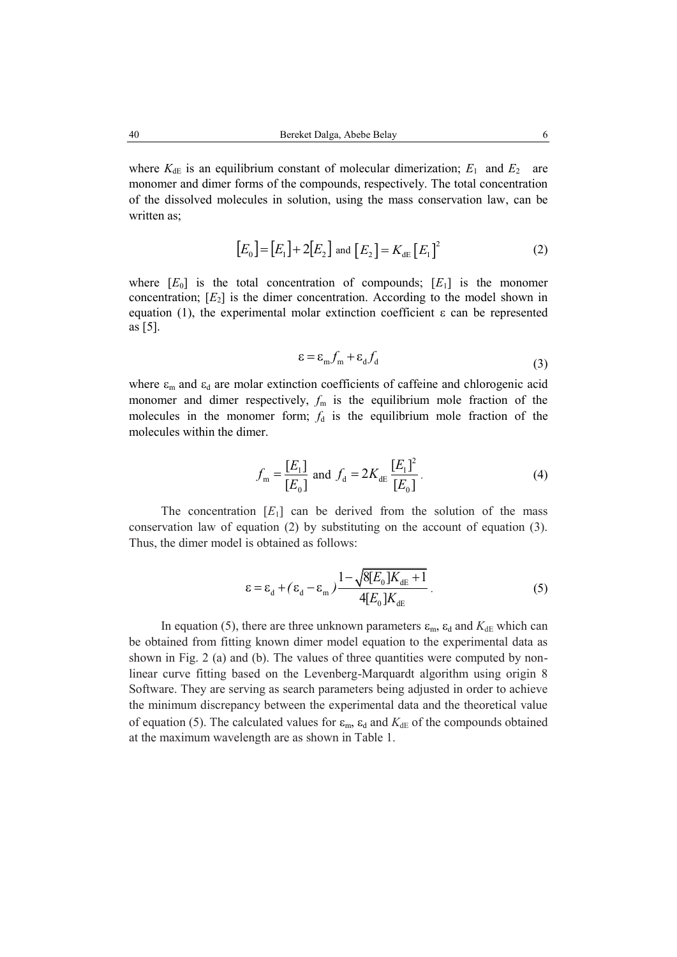where  $K_{\text{dE}}$  is an equilibrium constant of molecular dimerization;  $E_1$  and  $E_2$  are monomer and dimer forms of the compounds, respectively. The total concentration of the dissolved molecules in solution, using the mass conservation law, can be written as;

$$
[E_0] = [E_1] + 2[E_2] \text{ and } [E_2] = K_{\text{dE}} [E_1]^2
$$
 (2)

where  $[E_0]$  is the total concentration of compounds;  $[E_1]$  is the monomer concentration;  $[E_2]$  is the dimer concentration. According to the model shown in equation (1), the experimental molar extinction coefficient  $\varepsilon$  can be represented as [5].

$$
\varepsilon = \varepsilon_{\rm m} f_{\rm m} + \varepsilon_{\rm d} f_{\rm d} \tag{3}
$$

where  $\varepsilon_m$  and  $\varepsilon_d$  are molar extinction coefficients of caffeine and chlorogenic acid monomer and dimer respectively,  $f_m$  is the equilibrium mole fraction of the molecules in the monomer form;  $f_d$  is the equilibrium mole fraction of the molecules within the dimer.

$$
f_{\rm m} = \frac{[E_1]}{[E_0]} \text{ and } f_{\rm d} = 2K_{\rm dE} \frac{[E_1]^2}{[E_0]}.
$$
 (4)

The concentration  $[E_1]$  can be derived from the solution of the mass conservation law of equation (2) by substituting on the account of equation (3). Thus, the dimer model is obtained as follows:

$$
\varepsilon = \varepsilon_{\rm d} + (\varepsilon_{\rm d} - \varepsilon_{\rm m}) \frac{1 - \sqrt{8[E_{\rm o}]K_{\rm dE} + 1}}{4[E_{\rm o}]K_{\rm dE}}.
$$
\n(5)

In equation (5), there are three unknown parameters  $\varepsilon_m$ ,  $\varepsilon_d$  and  $K_{dE}$  which can be obtained from fitting known dimer model equation to the experimental data as shown in Fig. 2 (a) and (b). The values of three quantities were computed by nonlinear curve fitting based on the Levenberg-Marquardt algorithm using origin 8 Software. They are serving as search parameters being adjusted in order to achieve the minimum discrepancy between the experimental data and the theoretical value of equation (5). The calculated values for  $\varepsilon_m$ ,  $\varepsilon_d$  and  $K_{\text{dE}}$  of the compounds obtained at the maximum wavelength are as shown in Table 1.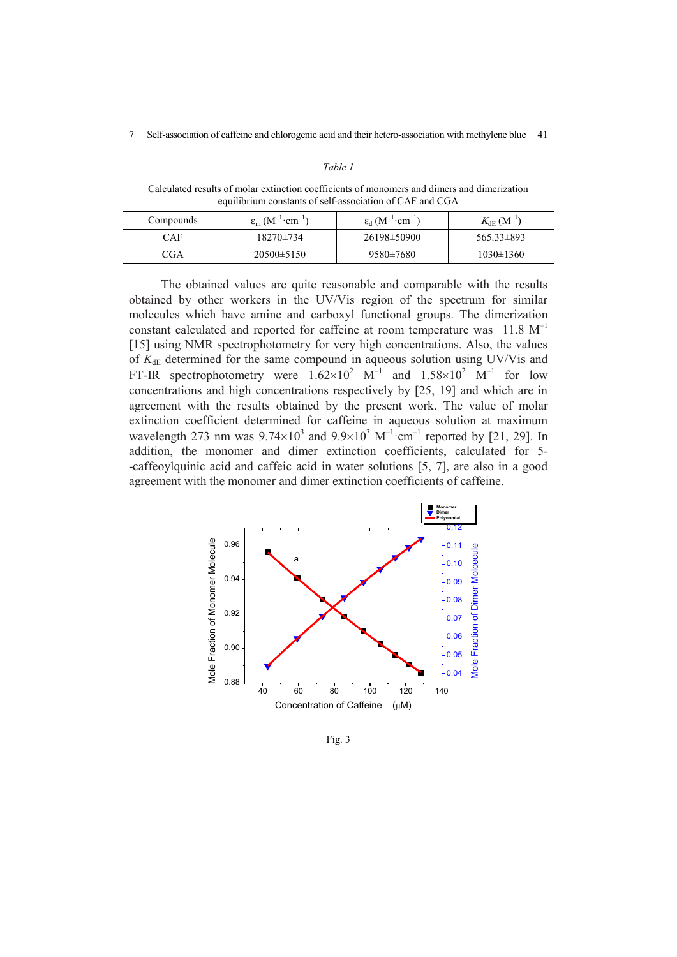## *Table 1*

Calculated results of molar extinction coefficients of monomers and dimers and dimerization equilibrium constants of self-association of CAF and CGA

| Compounds | $\varepsilon_m (M^{-1} \cdot cm^{-1})$ | $\varepsilon_d$ $(M^{-1} \cdot cm^{-1})$ | $K_{\rm dE}$ $({\rm M}^{-1})$ |
|-----------|----------------------------------------|------------------------------------------|-------------------------------|
| CAF       | $18270 \pm 734$                        | 26198±50900                              | $565.33\pm893$                |
| 7GA       | $20500 \pm 5150$                       | 9580±7680                                | $1030 \pm 1360$               |

The obtained values are quite reasonable and comparable with the results obtained by other workers in the UV/Vis region of the spectrum for similar molecules which have amine and carboxyl functional groups. The dimerization constant calculated and reported for caffeine at room temperature was  $11.8 \text{ M}^{-1}$ [15] using NMR spectrophotometry for very high concentrations. Also, the values of  $K_{\text{dE}}$  determined for the same compound in aqueous solution using UV/Vis and FT-IR spectrophotometry were  $1.62 \times 10^2$  M<sup>-1</sup> and  $1.58 \times 10^2$  M<sup>-1</sup> for low concentrations and high concentrations respectively by [25, 19] and which are in agreement with the results obtained by the present work. The value of molar extinction coefficient determined for caffeine in aqueous solution at maximum wavelength 273 nm was  $9.74 \times 10^3$  and  $9.9 \times 10^3$  M<sup>-1</sup>·cm<sup>-1</sup> reported by [21, 29]. In addition, the monomer and dimer extinction coefficients, calculated for 5- -caffeoylquinic acid and caffeic acid in water solutions [5, 7], are also in a good agreement with the monomer and dimer extinction coefficients of caffeine.



Fig. 3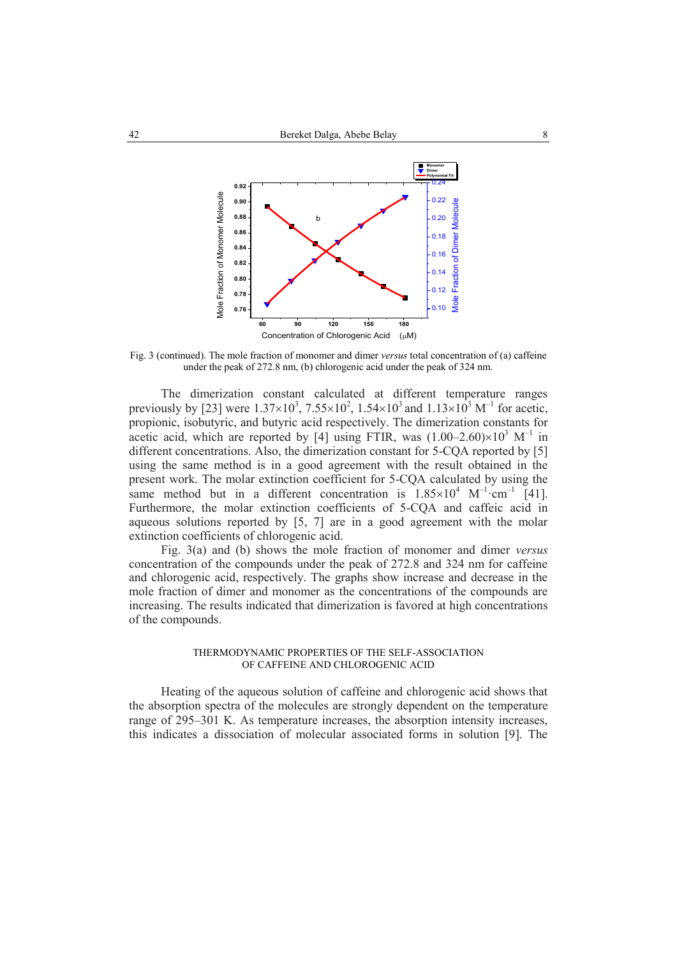

Fig. 3 (continued). The mole fraction of monomer and dimer *versus* total concentration of (a) caffeine under the peak of 272.8 nm, (b) chlorogenic acid under the peak of 324 nm.

The dimerization constant calculated at different temperature ranges previously by [23] were  $1.37 \times 10^3$ ,  $7.55 \times 10^2$ ,  $1.54 \times 10^3$  and  $1.13 \times 10^3$  M<sup>-1</sup> for acetic, propionic, isobutyric, and butyric acid respectively. The dimerization constants for acetic acid, which are reported by [4] using FTIR, was  $(1.00-2.60)\times10^{3}$  M<sup>-1</sup> in different concentrations. Also, the dimerization constant for 5-CQA reported by [5] using the same method is in a good agreement with the result obtained in the present work. The molar extinction coefficient for 5-CQA calculated by using the same method but in a different concentration is  $1.85 \times 10^4$  M<sup>-1</sup>·cm<sup>-1</sup> [41]. Furthermore, the molar extinction coefficients of 5-CQA and caffeic acid in aqueous solutions reported by [5, 7] are in a good agreement with the molar extinction coefficients of chlorogenic acid.

Fig. 3(a) and (b) shows the mole fraction of monomer and dimer *versus*  concentration of the compounds under the peak of 272.8 and 324 nm for caffeine and chlorogenic acid, respectively. The graphs show increase and decrease in the mole fraction of dimer and monomer as the concentrations of the compounds are increasing. The results indicated that dimerization is favored at high concentrations of the compounds.

## THERMODYNAMIC PROPERTIES OF THE SELF-ASSOCIATION OF CAFFEINE AND CHLOROGENIC ACID

Heating of the aqueous solution of caffeine and chlorogenic acid shows that the absorption spectra of the molecules are strongly dependent on the temperature range of 295–301 K. As temperature increases, the absorption intensity increases, this indicates a dissociation of molecular associated forms in solution [9]. The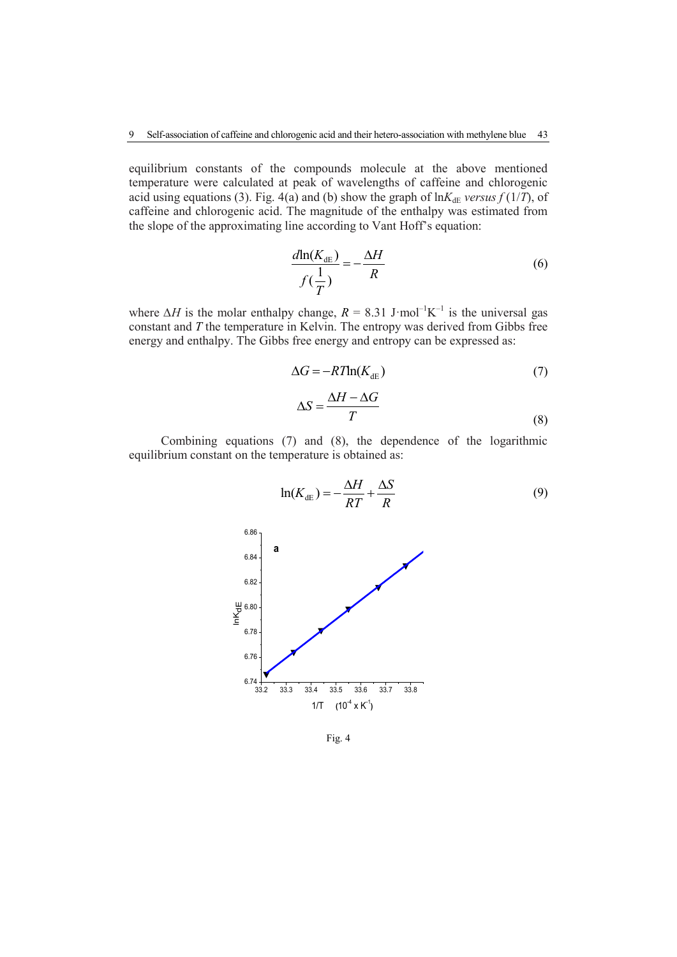equilibrium constants of the compounds molecule at the above mentioned temperature were calculated at peak of wavelengths of caffeine and chlorogenic acid using equations (3). Fig. 4(a) and (b) show the graph of  $\ln K_{\text{dE}}$  *versus*  $f(1/T)$ , of caffeine and chlorogenic acid. The magnitude of the enthalpy was estimated from the slope of the approximating line according to Vant Hoff's equation:

$$
\frac{d\ln(K_{\text{dB}})}{f(\frac{1}{T})} = -\frac{\Delta H}{R}
$$
\n(6)

where  $\Delta H$  is the molar enthalpy change,  $R = 8.31$  J·mol<sup>-1</sup>K<sup>-1</sup> is the universal gas constant and *T* the temperature in Kelvin. The entropy was derived from Gibbs free energy and enthalpy. The Gibbs free energy and entropy can be expressed as:

$$
\Delta G = -RT \ln(K_{\text{dE}}) \tag{7}
$$

$$
\Delta S = \frac{\Delta H - \Delta G}{T} \tag{8}
$$

Combining equations (7) and (8), the dependence of the logarithmic equilibrium constant on the temperature is obtained as:



Fig. 4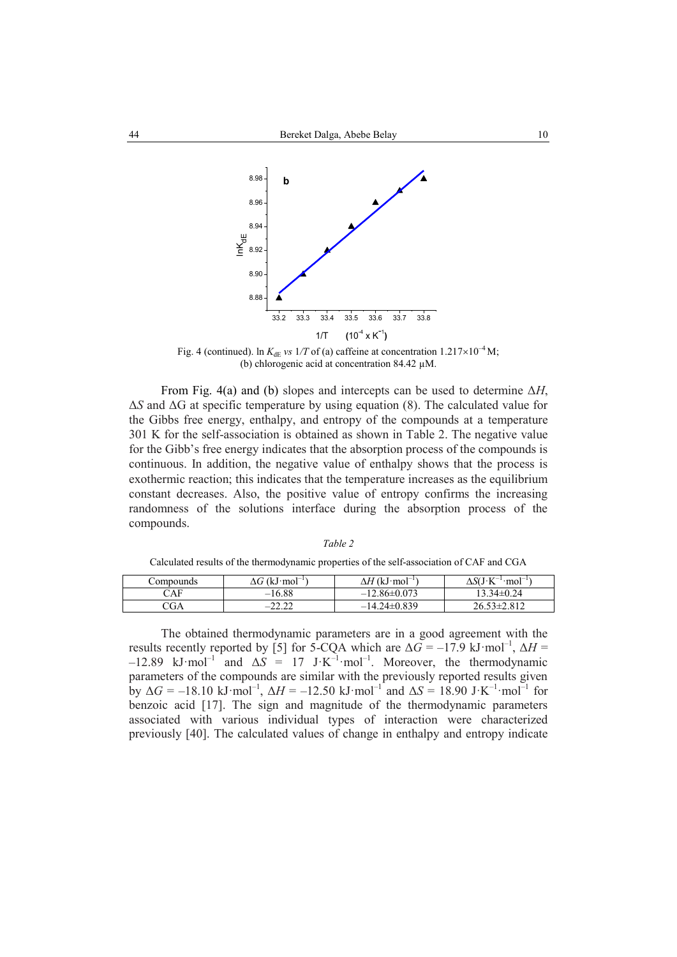

Fig. 4 (continued). ln  $K_{\text{dE}}$  *vs*  $1/T$  of (a) caffeine at concentration  $1.217 \times 10^{-4}$  M; (b) chlorogenic acid at concentration 84.42 µM.

From Fig. 4(a) and (b) slopes and intercepts can be used to determine Δ*H*, Δ*S* and ΔG at specific temperature by using equation (8). The calculated value for the Gibbs free energy, enthalpy, and entropy of the compounds at a temperature 301 K for the self-association is obtained as shown in Table 2. The negative value for the Gibb's free energy indicates that the absorption process of the compounds is continuous. In addition, the negative value of enthalpy shows that the process is exothermic reaction; this indicates that the temperature increases as the equilibrium constant decreases. Also, the positive value of entropy confirms the increasing randomness of the solutions interface during the absorption process of the compounds.

| ۰.<br>I |  |
|---------|--|
|---------|--|

Calculated results of the thermodynamic properties of the self-association of CAF and CGA

| Compounds | $\Delta G$ (kJ·mol <sup>-1</sup> ) | $\Delta H$ (kJ·mol <sup>-1</sup> ) | $^{-1}$ mol <sup>-1</sup> )<br>$\Delta S(J K^{-1})$ |
|-----------|------------------------------------|------------------------------------|-----------------------------------------------------|
| CAF       | $-16.88$                           | $-12.86\pm0.073$                   | $13.34\pm0.24$                                      |
| CGA       | ່າາ າາ<br>-                        | $-14.24\pm0.839$                   | $26.53 \pm 2.812$                                   |
|           |                                    |                                    |                                                     |

The obtained thermodynamic parameters are in a good agreement with the results recently reported by [5] for 5-CQA which are  $\Delta G = -17.9 \text{ kJ·mol}^{-1}$ ,  $\Delta H =$  $-12.89$  kJ·mol<sup>-1</sup> and  $\Delta S = 17$  J·K<sup>-1</sup>·mol<sup>-1</sup>. Moreover, the thermodynamic parameters of the compounds are similar with the previously reported results given by  $\Delta G = -18.10 \text{ kJ} \cdot \text{mol}^{-1}$ ,  $\Delta H = -12.50 \text{ kJ} \cdot \text{mol}^{-1}$  and  $\Delta S = 18.90 \text{ J} \cdot \text{K}^{-1} \cdot \text{mol}^{-1}$  for benzoic acid [17]. The sign and magnitude of the thermodynamic parameters associated with various individual types of interaction were characterized previously [40]. The calculated values of change in enthalpy and entropy indicate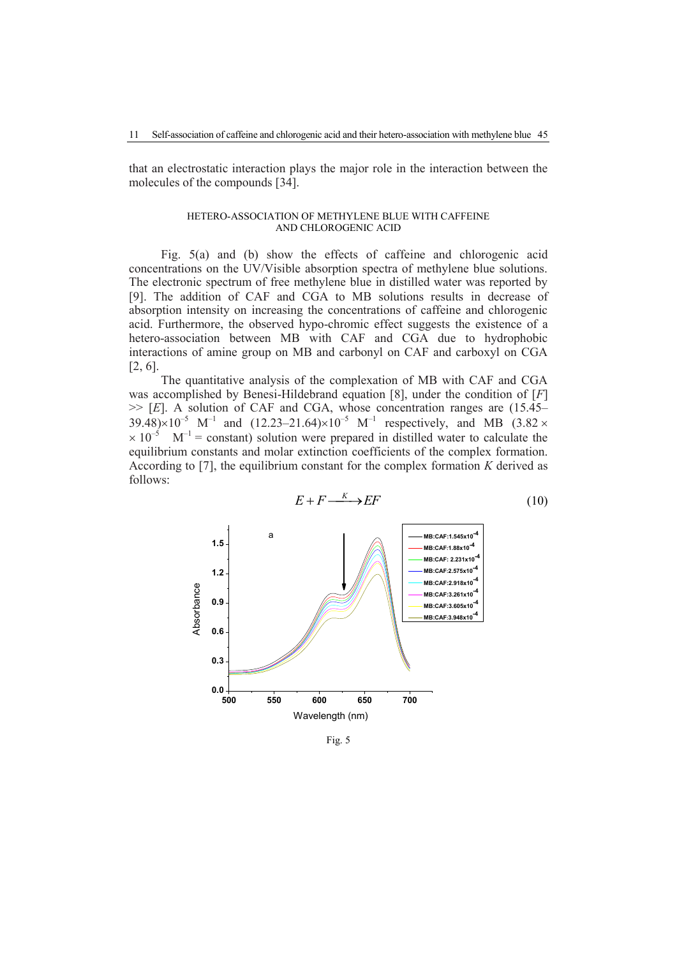that an electrostatic interaction plays the major role in the interaction between the molecules of the compounds [34].

#### HETERO-ASSOCIATION OF METHYLENE BLUE WITH CAFFEINE AND CHLOROGENIC ACID

Fig. 5(a) and (b) show the effects of caffeine and chlorogenic acid concentrations on the UV/Visible absorption spectra of methylene blue solutions. The electronic spectrum of free methylene blue in distilled water was reported by [9]. The addition of CAF and CGA to MB solutions results in decrease of absorption intensity on increasing the concentrations of caffeine and chlorogenic acid. Furthermore, the observed hypo-chromic effect suggests the existence of a hetero-association between MB with CAF and CGA due to hydrophobic interactions of amine group on MB and carbonyl on CAF and carboxyl on CGA [2, 6].

The quantitative analysis of the complexation of MB with CAF and CGA was accomplished by Benesi-Hildebrand equation [8], under the condition of [*F*] >> [*E*]. A solution of CAF and CGA, whose concentration ranges are (15.45– 39.48) $\times$ 10<sup>-5</sup> M<sup>-1</sup> and (12.23–21.64) $\times$ 10<sup>-5</sup> M<sup>-1</sup> respectively, and MB (3.82  $\times$  $\times 10^{-5}$  M<sup>-1</sup> = constant) solution were prepared in distilled water to calculate the equilibrium constants and molar extinction coefficients of the complex formation. According to [7], the equilibrium constant for the complex formation *K* derived as follows:



Fig. 5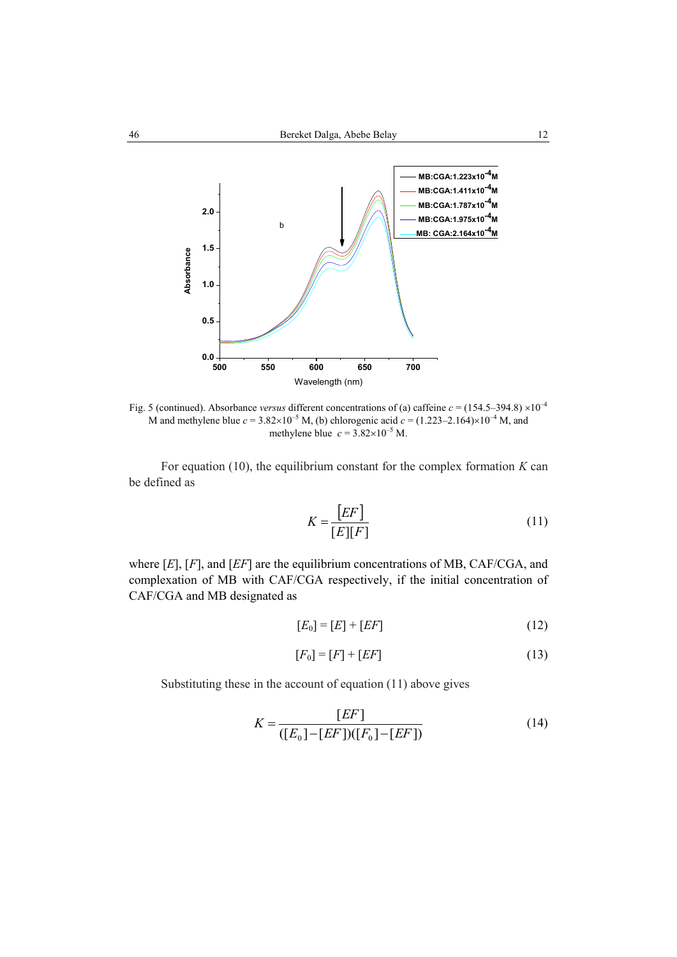

Fig. 5 (continued). Absorbance *versus* different concentrations of (a) caffeine  $c = (154.5-394.8) \times 10^{-4}$ M and methylene blue  $c = 3.82 \times 10^{-5}$  M, (b) chlorogenic acid  $c = (1.223 - 2.164) \times 10^{-4}$  M, and methylene blue  $c = 3.82 \times 10^{-5}$  M.

For equation (10), the equilibrium constant for the complex formation *K* can be defined as

$$
K = \frac{[EF]}{[E][F]}
$$
\n(11)

where [*E*], [*F*], and [*EF*] are the equilibrium concentrations of MB, CAF/CGA, and complexation of MB with CAF/CGA respectively, if the initial concentration of CAF/CGA and MB designated as

$$
[E_0] = [E] + [EF] \tag{12}
$$

$$
[F_0] = [F] + [EF] \tag{13}
$$

Substituting these in the account of equation (11) above gives

$$
K = \frac{[EF]}{([E_0] - [EF])([F_0] - [EF])}
$$
(14)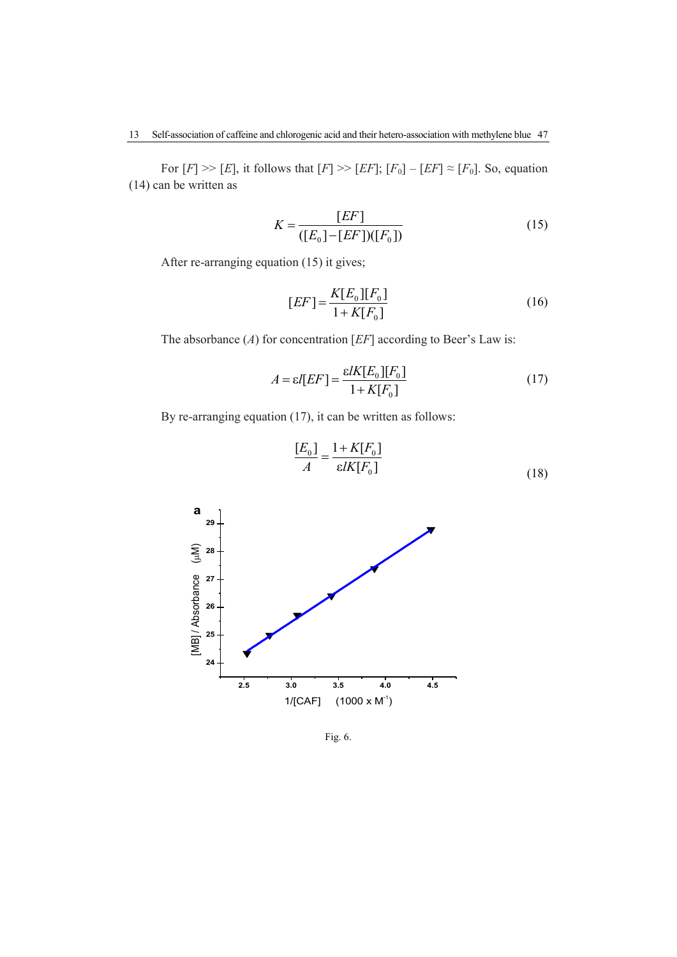For  $[F] \gg [E]$ , it follows that  $[F] \gg [EF]$ ;  $[F_0] - [EF] \approx [F_0]$ . So, equation (14) can be written as

$$
K = \frac{[EF]}{([E_0] - [EF])([F_0])}
$$
\n(15)

After re-arranging equation (15) it gives;

$$
[EF] = \frac{K[E_0][F_0]}{1 + K[F_0]}
$$
\n(16)

The absorbance (*A*) for concentration [*EF*] according to Beer's Law is:

$$
A = \varepsilon I[EF] = \frac{\varepsilon I K[E_0][F_0]}{1 + K[F_0]}
$$
\n(17)

By re-arranging equation (17), it can be written as follows:



 $\frac{0.1}{0.1} - \frac{1}{1 + W}$  $[E_0]$   $1 + K[F_0]$  $[E_0]$  1+*K*[*F*<sub>*i*</sub>  $=\frac{1+}{4}$ (18)

Fig. 6.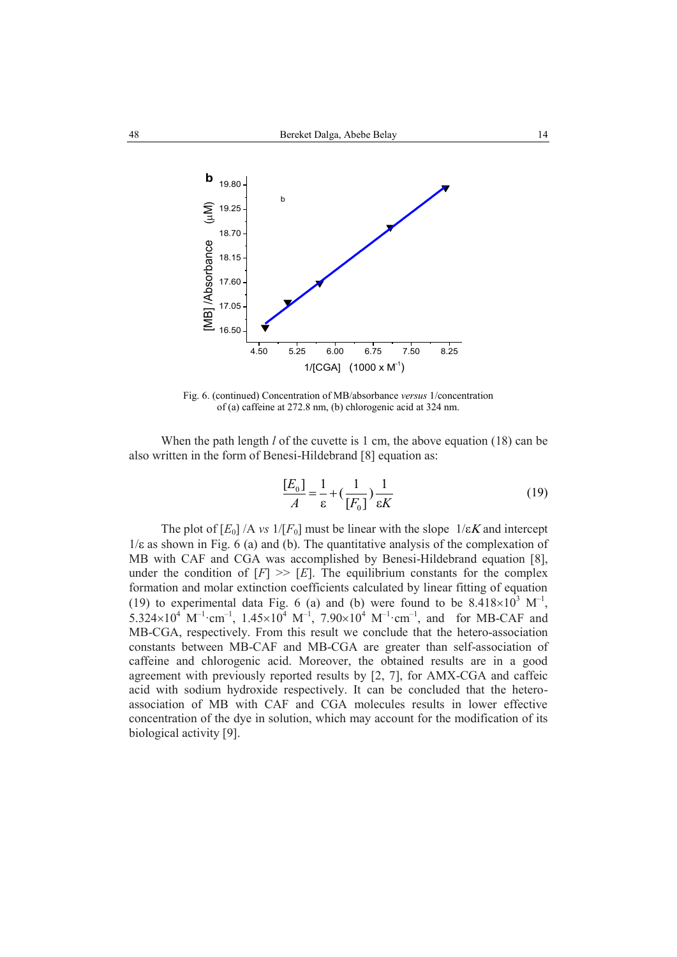

Fig. 6. (continued) Concentration of MB/absorbance *versus* 1/concentration of (a) caffeine at 272.8 nm, (b) chlorogenic acid at 324 nm.

When the path length *l* of the cuvette is 1 cm, the above equation (18) can be also written in the form of Benesi-Hildebrand [8] equation as:

$$
\frac{[E_0]}{A} = \frac{1}{\varepsilon} + \left(\frac{1}{[F_0]}\right) \frac{1}{\varepsilon K}
$$
\n(19)

The plot of  $[E_0]/A$  *vs*  $1/[F_0]$  must be linear with the slope  $1/\varepsilon K$  and intercept  $1/\varepsilon$  as shown in Fig. 6 (a) and (b). The quantitative analysis of the complexation of MB with CAF and CGA was accomplished by Benesi-Hildebrand equation [8], under the condition of  $[F] \gg [E]$ . The equilibrium constants for the complex formation and molar extinction coefficients calculated by linear fitting of equation (19) to experimental data Fig. 6 (a) and (b) were found to be  $8.418 \times 10^3$  M<sup>-1</sup>,  $5.324 \times 10^4$  M<sup>-1</sup>·cm<sup>-1</sup>,  $1.45 \times 10^4$  M<sup>-1</sup>,  $7.90 \times 10^4$  M<sup>-1</sup>·cm<sup>-1</sup>, and for MB-CAF and MB-CGA, respectively. From this result we conclude that the hetero-association constants between MB-CAF and MB-CGA are greater than self-association of caffeine and chlorogenic acid. Moreover, the obtained results are in a good agreement with previously reported results by [2, 7], for AMX-CGA and caffeic acid with sodium hydroxide respectively. It can be concluded that the heteroassociation of MB with CAF and CGA molecules results in lower effective concentration of the dye in solution, which may account for the modification of its biological activity [9].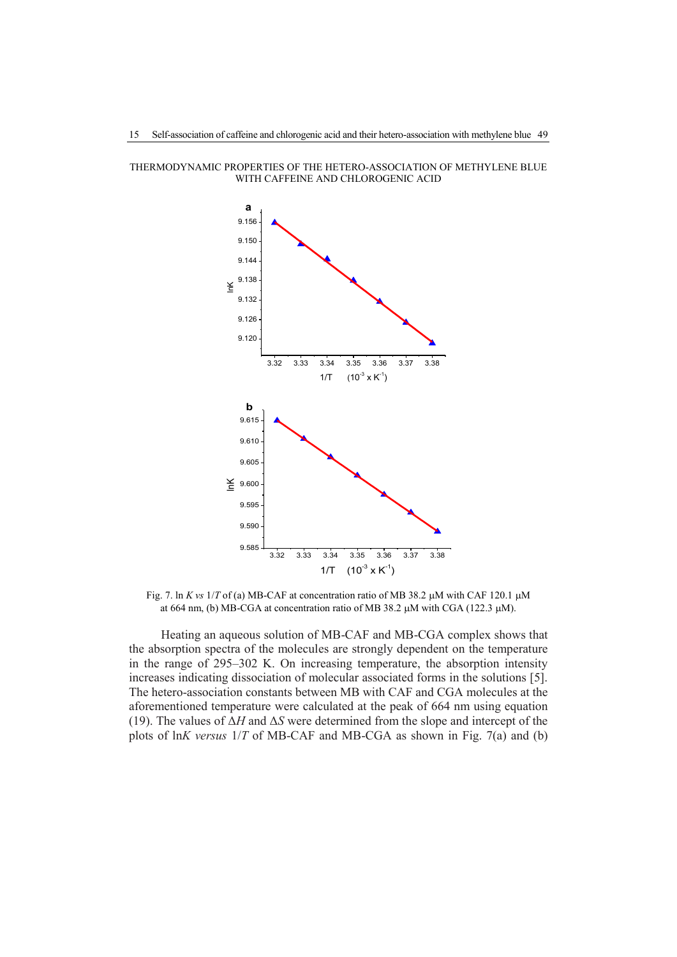THERMODYNAMIC PROPERTIES OF THE HETERO-ASSOCIATION OF METHYLENE BLUE WITH CAFFEINE AND CHLOROGENIC ACID



Fig. 7. ln *K* vs  $1/T$  of (a) MB-CAF at concentration ratio of MB 38.2  $\mu$ M with CAF 120.1  $\mu$ M at 664 nm, (b) MB-CGA at concentration ratio of MB 38.2  $\mu$ M with CGA (122.3  $\mu$ M).

Heating an aqueous solution of MB-CAF and MB-CGA complex shows that the absorption spectra of the molecules are strongly dependent on the temperature in the range of 295–302 K. On increasing temperature, the absorption intensity increases indicating dissociation of molecular associated forms in the solutions [5]. The hetero-association constants between MB with CAF and CGA molecules at the aforementioned temperature were calculated at the peak of 664 nm using equation (19). The values of Δ*H* and Δ*S* were determined from the slope and intercept of the plots of ln*K versus* 1/*T* of MB-CAF and MB-CGA as shown in Fig. 7(a) and (b)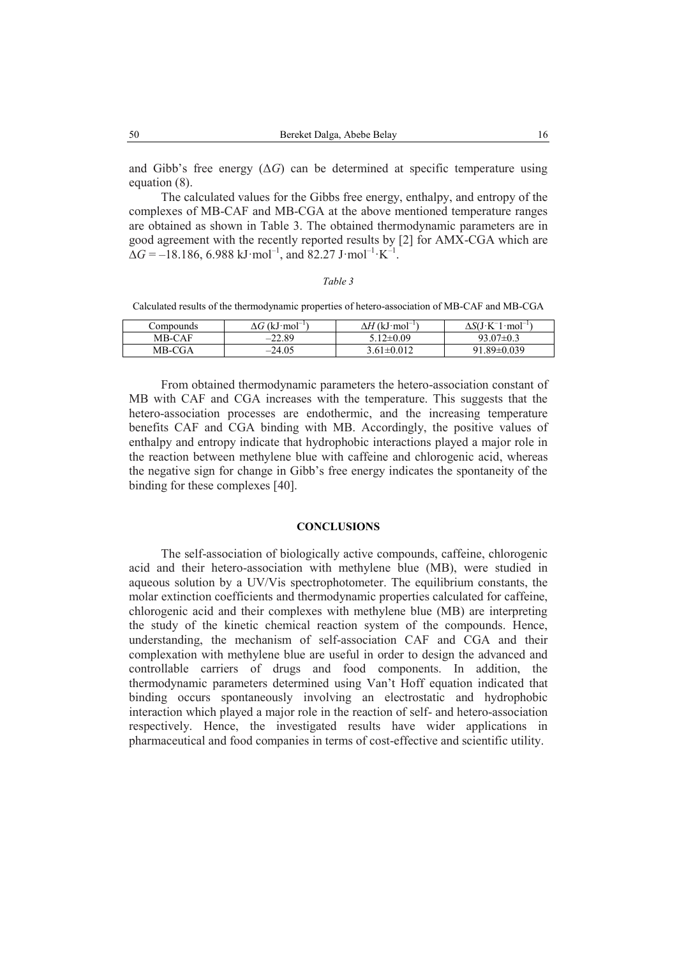and Gibb's free energy  $(\Delta G)$  can be determined at specific temperature using equation (8).

The calculated values for the Gibbs free energy, enthalpy, and entropy of the complexes of MB-CAF and MB-CGA at the above mentioned temperature ranges are obtained as shown in Table 3. The obtained thermodynamic parameters are in good agreement with the recently reported results by [2] for AMX-CGA which are  $\Delta G = -18.186, 6.988 \text{ kJ} \cdot \text{mol}^{-1}, \text{ and } 82.27 \text{ J} \cdot \text{mol}^{-1} \cdot \text{K}^{-1}.$ 

# *Table 3*

Calculated results of the thermodynamic properties of hetero-association of MB-CAF and MB-CGA

| Compounds | $\Delta G$ (kJ·mol <sup>-1</sup> ) | $\Delta H$ (kJ·mol <sup>-1</sup> ) | $\Delta$ S(J·K <sup>-</sup> 1<br>$\cdot$ mol <sup>-1</sup> |
|-----------|------------------------------------|------------------------------------|------------------------------------------------------------|
| MB-CAF    | $-22.89$                           | $5.12 \pm 0.09$                    | $93.07 \pm 0.3$                                            |
| MB-CGA    | $-24.05$                           | $3.61 \pm 0.012$                   | $9189\pm0039$                                              |

From obtained thermodynamic parameters the hetero-association constant of MB with CAF and CGA increases with the temperature. This suggests that the hetero-association processes are endothermic, and the increasing temperature benefits CAF and CGA binding with MB. Accordingly, the positive values of enthalpy and entropy indicate that hydrophobic interactions played a major role in the reaction between methylene blue with caffeine and chlorogenic acid, whereas the negative sign for change in Gibb's free energy indicates the spontaneity of the binding for these complexes [40].

#### **CONCLUSIONS**

The self-association of biologically active compounds, caffeine, chlorogenic acid and their hetero-association with methylene blue (MB), were studied in aqueous solution by a UV/Vis spectrophotometer. The equilibrium constants, the molar extinction coefficients and thermodynamic properties calculated for caffeine, chlorogenic acid and their complexes with methylene blue (MB) are interpreting the study of the kinetic chemical reaction system of the compounds. Hence, understanding, the mechanism of self-association CAF and CGA and their complexation with methylene blue are useful in order to design the advanced and controllable carriers of drugs and food components. In addition, the thermodynamic parameters determined using Van't Hoff equation indicated that binding occurs spontaneously involving an electrostatic and hydrophobic interaction which played a major role in the reaction of self- and hetero-association respectively. Hence, the investigated results have wider applications in pharmaceutical and food companies in terms of cost-effective and scientific utility.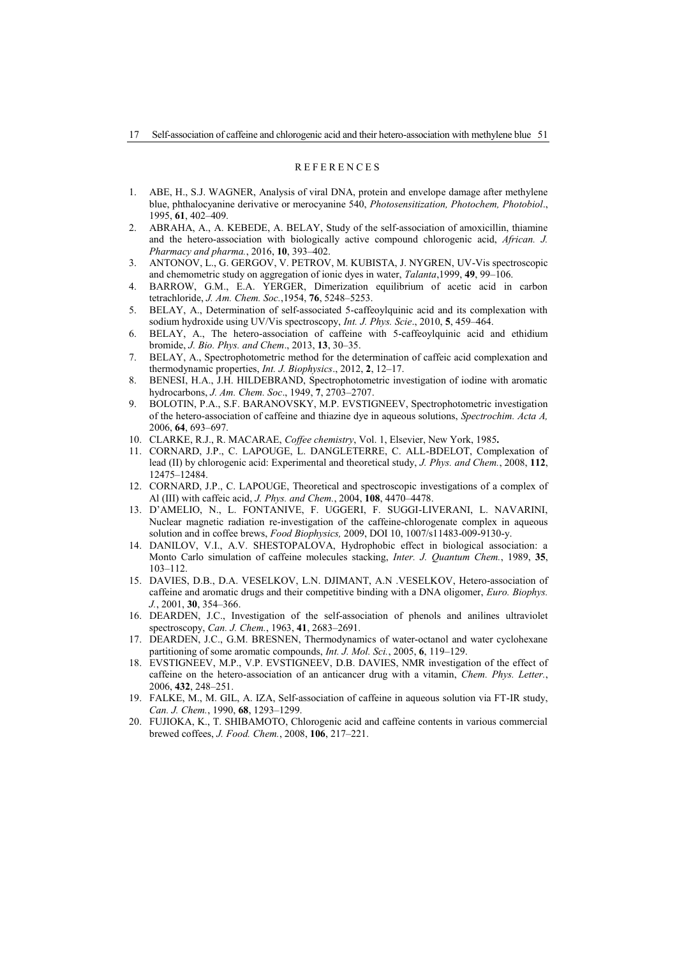#### **REFERENCES**

- 1. ABE, H., S.J. WAGNER, Analysis of viral DNA, protein and envelope damage after methylene blue, phthalocyanine derivative or merocyanine 540, *Photosensitization, Photochem, Photobiol*., 1995, **61**, 402–409.
- 2. ABRAHA, A., A. KEBEDE, A. BELAY, Study of the self-association of amoxicillin, thiamine and the hetero-association with biologically active compound chlorogenic acid, *African. J. Pharmacy and pharma.*, 2016, **10**, 393–402.
- 3. ANTONOV, L., G. GERGOV, V. PETROV, M. KUBISTA, J. NYGREN, UV-Vis spectroscopic and chemometric study on aggregation of ionic dyes in water, *Talanta*,1999, **49**, 99–106.
- 4. BARROW, G.M., E.A. YERGER, Dimerization equilibrium of acetic acid in carbon tetrachloride, *J. Am. Chem. Soc.*,1954, **76**, 5248–5253.
- 5. BELAY, A., Determination of self-associated 5-caffeoylquinic acid and its complexation with sodium hydroxide using UV/Vis spectroscopy, *Int. J. Phys. Scie*., 2010, **5**, 459–464.
- 6. BELAY, A., The hetero-association of caffeine with 5-caffeoylquinic acid and ethidium bromide, *J. Bio. Phys. and Chem*., 2013, **13**, 30–35.
- 7. BELAY, A., Spectrophotometric method for the determination of caffeic acid complexation and thermodynamic properties, *Int. J. Biophysics*., 2012, **2**, 12–17.
- 8. BENESI, H.A., J.H. HILDEBRAND, Spectrophotometric investigation of iodine with aromatic hydrocarbons, *J. Am. Chem. Soc*., 1949, **7**, 2703–2707.
- 9. BOLOTIN, P.A., S.F. BARANOVSKY, M.P. EVSTIGNEEV, Spectrophotometric investigation of the hetero-association of caffeine and thiazine dye in aqueous solutions, *Spectrochim. Acta A,* 2006, **64**, 693–697.
- 10. CLARKE, R.J., R. MACARAE, *Coffee chemistry*, Vol. 1, Elsevier, New York, 1985**.**
- 11. CORNARD, J.P., C. LAPOUGE, L. DANGLETERRE, C. ALL-BDELOT, Complexation of lead (II) by chlorogenic acid: Experimental and theoretical study, *J. Phys. and Chem.*, 2008, **112**, 12475–12484.
- 12. CORNARD, J.P., C. LAPOUGE, Theoretical and spectroscopic investigations of a complex of Al (III) with caffeic acid, *J. Phys. and Chem.*, 2004, **108**, 4470–4478.
- 13. D'AMELIO, N., L. FONTANIVE, F. UGGERI, F. SUGGI-LIVERANI, L. NAVARINI, Nuclear magnetic radiation re-investigation of the caffeine-chlorogenate complex in aqueous solution and in coffee brews, *Food Biophysics,* 2009, DOI 10, 1007/s11483-009-9130-y.
- 14. DANILOV, V.I., A.V. SHESTOPALOVA, Hydrophobic effect in biological association: a Monto Carlo simulation of caffeine molecules stacking, *Inter. J. Quantum Chem.*, 1989, **35**, 103–112.
- 15. DAVIES, D.B., D.A. VESELKOV, L.N. DJIMANT, A.N .VESELKOV, Hetero-association of caffeine and aromatic drugs and their competitive binding with a DNA oligomer, *Euro. Biophys. J.*, 2001, **30**, 354–366.
- 16. DEARDEN, J.C., Investigation of the self-association of phenols and anilines ultraviolet spectroscopy, *Can. J. Chem.*, 1963, **41**, 2683–2691.
- 17. DEARDEN, J.C., G.M. BRESNEN, Thermodynamics of water-octanol and water cyclohexane partitioning of some aromatic compounds, *Int. J. Mol. Sci.*, 2005, **6**, 119–129.
- 18. EVSTIGNEEV, M.P., V.P. EVSTIGNEEV, D.B. DAVIES, NMR investigation of the effect of caffeine on the hetero-association of an anticancer drug with a vitamin, *Chem. Phys. Letter.*, 2006, **432**, 248–251.
- 19. FALKE, M., M. GIL, A. IZA, Self-association of caffeine in aqueous solution via FT-IR study, *Can. J. Chem.*, 1990, **68**, 1293–1299.
- 20. FUJIOKA, K., T. SHIBAMOTO, Chlorogenic acid and caffeine contents in various commercial brewed coffees, *J. Food. Chem.*, 2008, **106**, 217–221.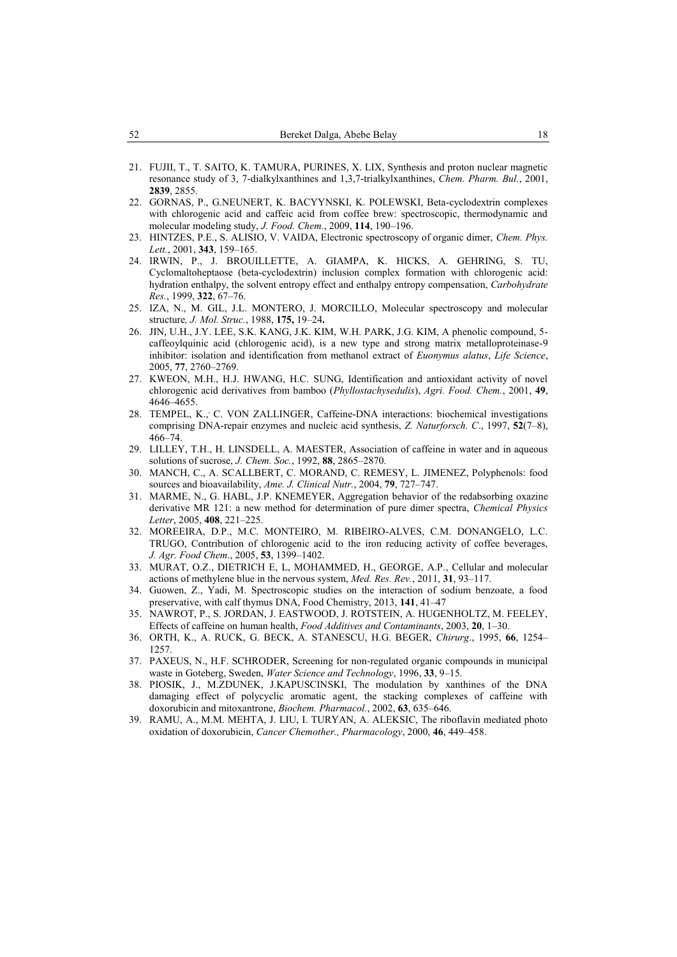- 21. FUJII, T., T. SAITO, K. TAMURA, PURINES, X. LIX, Synthesis and proton nuclear magnetic resonance study of 3, 7-dialkylxanthines and 1,3,7-trialkylxanthines, *Chem. Pharm. Bul.*, 2001, **2839**, 2855.
- 22. GORNAS, P., G.NEUNERT, K. BACYYNSKI, K. POLEWSKI, Beta-cyclodextrin complexes with chlorogenic acid and caffeic acid from coffee brew: spectroscopic, thermodynamic and molecular modeling study, *J. Food. Chem.*, 2009, **114**, 190–196.
- 23. HINTZES, P.E., S. ALISIO, V. VAIDA, Electronic spectroscopy of organic dimer, *Chem. Phys. Lett.*, 2001, **343**, 159–165.
- 24. IRWIN, P., J. BROUILLETTE, A. GIAMPA, K. HICKS, A. GEHRING, S. TU, Cyclomaltoheptaose (beta-cyclodextrin) inclusion complex formation with chlorogenic acid: hydration enthalpy, the solvent entropy effect and enthalpy entropy compensation, *Carbohydrate Res.*, 1999, **322**, 67–76.
- 25. IZA, N., M. GIL, J.L. MONTERO, J. MORCILLO, Molecular spectroscopy and molecular structure*, J. Mol. Struc.*, 1988, **175,** 19–24**.**
- 26. JIN, U.H., J.Y. LEE, S.K. KANG, J.K. KIM, W.H. PARK, J.G. KIM, A phenolic compound, 5 caffeoylquinic acid (chlorogenic acid), is a new type and strong matrix metalloproteinase-9 inhibitor: isolation and identification from methanol extract of *Euonymus alatus*, *Life Science*, 2005, **77**, 2760–2769.
- 27. KWEON, M.H., H.J. HWANG, H.C. SUNG, Identification and antioxidant activity of novel chlorogenic acid derivatives from bamboo (*Phyllostachysedulis*), *Agri. Food. Chem.*, 2001, **49**, 4646–4655.
- 28. [TEMPEL, K.](https://www.ncbi.nlm.nih.gov/pubmed/?term=Tempel%20K%5BAuthor%5D&cauthor=true&cauthor_uid=9309878), C. [VON ZALLINGER,](https://www.ncbi.nlm.nih.gov/pubmed/?term=von%20Zallinger%20C%5BAuthor%5D&cauthor=true&cauthor_uid=9309878) Caffeine-DNA interactions: biochemical investigations comprising DNA-repair enzymes and nucleic acid synthesis, *[Z. Naturforsch. C](https://www.ncbi.nlm.nih.gov/pubmed/9309878)*., 1997, **52**(7–8), 466–74.
- 29. LILLEY, T.H., H. LINSDELL, A. MAESTER, Association of caffeine in water and in aqueous solutions of sucrose, *J. Chem. Soc.*, 1992, **88**, 2865–2870.
- 30. MANCH, C., A. SCALLBERT, C. MORAND, C. REMESY, L. JIMENEZ, Polyphenols: food sources and bioavailability, *Ame. J. Clinical Nutr.*, 2004, **79**, 727–747.
- 31. MARME, N., G. HABL, J.P. KNEMEYER, Aggregation behavior of the redabsorbing oxazine derivative MR 121: a new method for determination of pure dimer spectra, *Chemical Physics Letter*, 2005, **408**, 221–225.
- 32. MOREEIRA, D.P., M.C. MONTEIRO, M. RIBEIRO-ALVES, C.M. DONANGELO, L.C. TRUGO, Contribution of chlorogenic acid to the iron reducing activity of coffee beverages, *J. Agr. Food Chem*., 2005, **53**, 1399–1402.
- 33. MURAT, O.Z., DIETRICH E, L, MOHAMMED, H., GEORGE, A.P., Cellular and molecular actions of methylene blue in the nervous system, *Med. Res. Rev.*, 2011, **31**, 93–117.
- 34. Guowen, Z., Yadi, M. Spectroscopic studies on the interaction of sodium benzoate, a food preservative, with calf thymus DNA, Food Chemistry, 2013, **141**, 41–47
- 35. NAWROT, P., S. JORDAN, J. EASTWOOD, J. ROTSTEIN, A. HUGENHOLTZ, M. FEELEY, Effects of caffeine on human health, *Food Additives and Contaminants*, 2003, **20**, 1–30.
- 36. ORTH, K., A. RUCK, G. BECK, A. STANESCU, H.G. BEGER, *Chirurg*., 1995, **66**, 1254– 1257.
- 37. PAXEUS, N., H.F. SCHRODER, Screening for non-regulated organic compounds in municipal waste in Goteberg, Sweden, *Water Science and Technology*, 1996, **33**, 9–15.
- 38. PIOSIK, J., M.ZDUNEK, J.KAPUSCINSKI, The modulation by xanthines of the DNA damaging effect of polycyclic aromatic agent, the stacking complexes of caffeine with doxorubicin and mitoxantrone, *Biochem. Pharmacol.*, 2002, **63**, 635–646.
- 39. RAMU, A., M.M. MEHTA, J. LIU, I. TURYAN, A. ALEKSIC, The riboflavin mediated photo oxidation of doxorubicin, *Cancer Chemother., Pharmacology*, 2000, **46**, 449–458.